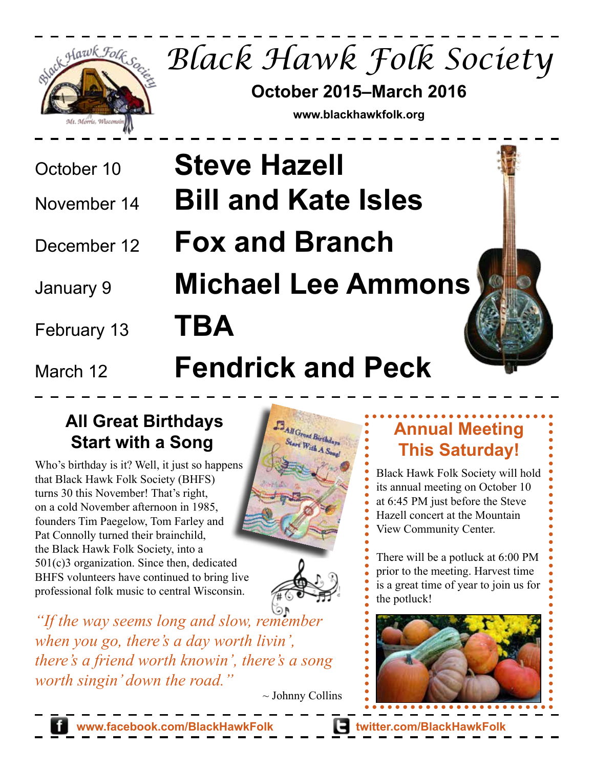

*Black Hawk Folk Society*

**October 2015–March 2016**

**www.blackhawkfolk.org**

- 
- 
- 
- 
- February 13 **TBA**
- 

# October 10 **Steve Hazell** November 14 **Bill and Kate Isles** December 12 **Fox and Branch** January 9 **Michael Lee Ammons**

## March 12 **Fendrick and Peck**

### **All Great Birthdays Start with a Song**

Who's birthday is it? Well, it just so happens that Black Hawk Folk Society (BHFS) turns 30 this November! That's right, on a cold November afternoon in 1985, founders Tim Paegelow, Tom Farley and Pat Connolly turned their brainchild, the Black Hawk Folk Society, into a 501(c)3 organization. Since then, dedicated BHFS volunteers have continued to bring live professional folk music to central Wisconsin.





*"If the way seems long and slow, remember when you go, there's a day worth livin', there's a friend worth knowin', there's a song worth singin' down the road."*

 $\sim$  Johnny Collins

## **Annual Meeting This Saturday!**

Black Hawk Folk Society will hold its annual meeting on October 10 at 6:45 PM just before the Steve Hazell concert at the Mountain View Community Center.

There will be a potluck at 6:00 PM prior to the meeting. Harvest time is a great time of year to join us for the potluck!



**www.facebook.com/BlackHawkFolk twitter.com/BlackHawkFolk**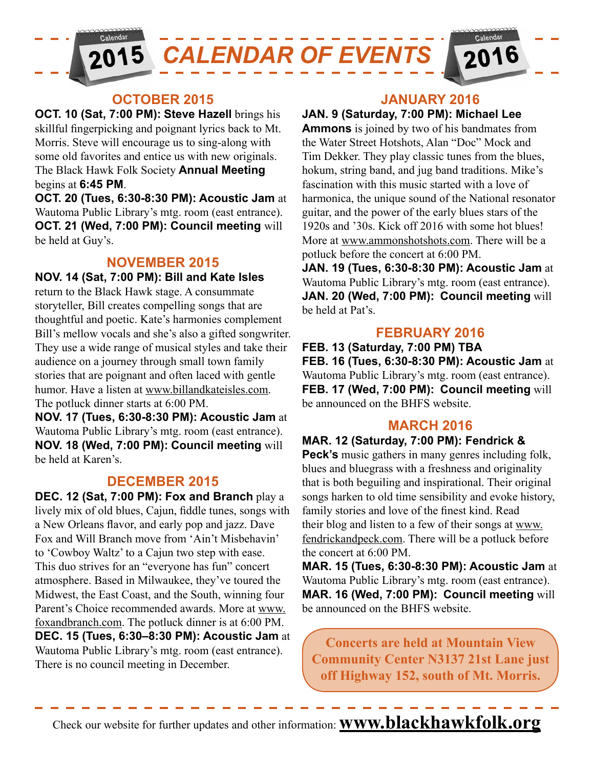

#### **OCTOBER 2015**

**OCT. 10 (Sat, 7:00 PM): Steve Hazell** brings his skillful fingerpicking and poignant lyrics back to Mt. Morris. Steve will encourage us to sing-along with some old favorites and entice us with new originals. The Black Hawk Folk Society **Annual Meeting**  begins at **6:45 PM**.

**OCT. 20 (Tues, 6:30-8:30 PM): Acoustic Jam** at Wautoma Public Library's mtg. room (east entrance). **OCT. 21 (Wed, 7:00 PM): Council meeting** will be held at Guy's.

#### **NOVEMBER 2015**

**NOV. 14 (Sat, 7:00 PM): Bill and Kate Isles** return to the Black Hawk stage. A consummate storyteller, Bill creates compelling songs that are thoughtful and poetic. Kate's harmonies complement Bill's mellow vocals and she's also a gifted songwriter. They use a wide range of musical styles and take their audience on a journey through small town family stories that are poignant and often laced with gentle humor. Have a listen at www.billandkateisles.com. The potluck dinner starts at 6:00 PM.

**NOV. 17 (Tues, 6:30-8:30 PM): Acoustic Jam** at Wautoma Public Library's mtg. room (east entrance). **NOV. 18 (Wed, 7:00 PM): Council meeting** will be held at Karen's.

#### **DECEMBER 2015**

**DEC. 12 (Sat, 7:00 PM): Fox and Branch** play a lively mix of old blues, Cajun, fiddle tunes, songs with a New Orleans flavor, and early pop and jazz. Dave Fox and Will Branch move from 'Ain't Misbehavin' to 'Cowboy Waltz' to a Cajun two step with ease. This duo strives for an "everyone has fun" concert atmosphere. Based in Milwaukee, they've toured the Midwest, the East Coast, and the South, winning four Parent's Choice recommended awards. More at www. foxandbranch.com. The potluck dinner is at 6:00 PM. **DEC. 15 (Tues, 6:30–8:30 PM): Acoustic Jam** at Wautoma Public Library's mtg. room (east entrance). There is no council meeting in December.

#### **JANUARY 2016**

#### **JAN. 9 (Saturday, 7:00 PM): Michael Lee**

**Ammons** is joined by two of his bandmates from the Water Street Hotshots, Alan "Doc" Mock and Tim Dekker. They play classic tunes from the blues, hokum, string band, and jug band traditions. Mike's fascination with this music started with a love of harmonica, the unique sound of the National resonator guitar, and the power of the early blues stars of the 1920s and '30s. Kick off 2016 with some hot blues! More at www.ammonshotshots.com. There will be a potluck before the concert at 6:00 PM.

**JAN. 19 (Tues, 6:30-8:30 PM): Acoustic Jam** at Wautoma Public Library's mtg. room (east entrance). **JAN. 20 (Wed, 7:00 PM): Council meeting** will be held at Pat's.

#### **FEBRUARY 2016**

**FEB. 13 (Saturday, 7:00 PM) TBA FEB. 16 (Tues, 6:30-8:30 PM): Acoustic Jam** at Wautoma Public Library's mtg. room (east entrance). **FEB. 17 (Wed, 7:00 PM): Council meeting** will be announced on the BHFS website.

#### **MARCH 2016**

**MAR. 12 (Saturday, 7:00 PM): Fendrick &** 

**Peck's** music gathers in many genres including folk, blues and bluegrass with a freshness and originality that is both beguiling and inspirational. Their original songs harken to old time sensibility and evoke history, family stories and love of the finest kind. Read their blog and listen to a few of their songs at www. fendrickandpeck.com. There will be a potluck before the concert at 6:00 PM.

**MAR. 15 (Tues, 6:30-8:30 PM): Acoustic Jam** at Wautoma Public Library's mtg. room (east entrance). **MAR. 16 (Wed, 7:00 PM): Council meeting** will be announced on the BHFS website.

**Concerts are held at Mountain View Community Center N3137 21st Lane just off Highway 152, south of Mt. Morris.**

Check our website for further updates and other information: **www.blackhawkfolk.org**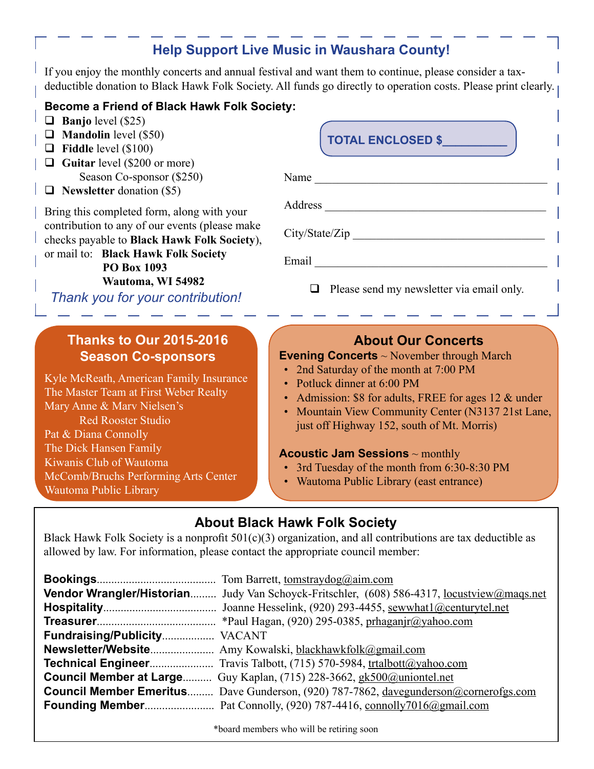#### **Help Support Live Music in Waushara County!**

If you enjoy the monthly concerts and annual festival and want them to continue, please consider a taxdeductible donation to Black Hawk Folk Society. All funds go directly to operation costs. Please print clearly.

#### **Become a Friend of Black Hawk Folk Society:**

- $\Box$  **Banjo** level (\$25)
- **Mandolin** level (\$50)
- **Fiddle** level (\$100)
- **Guitar** level (\$200 or more) Season Co-sponsor (\$250)
- **Newsletter** donation (\$5)

Bring this completed form, along with your contribution to any of our events (please make checks payable to **Black Hawk Folk Society**), or mail to: **Black Hawk Folk Society**

 **PO Box 1093**

 **Wautoma, WI 54982**

*Thank you for your contribution!*

#### **Thanks to Our 2015-2016 Season Co-sponsors**

Kyle McReath, American Family Insurance The Master Team at First Weber Realty Mary Anne & Marv Nielsen's Red Rooster Studio Pat & Diana Connolly The Dick Hansen Family Kiwanis Club of Wautoma McComb/Bruchs Performing Arts Center Wautoma Public Library

## Name Address \_\_\_\_\_\_\_\_\_\_\_\_\_\_\_\_\_\_\_\_\_\_\_\_\_\_\_\_\_\_\_\_\_\_\_\_\_\_  $City/State/Zip$ Email  $\Box$  $\Box$  Please send my newsletter via email only. **TOTAL ENCLOSED \$\_\_\_\_\_\_\_\_\_\_**

#### **About Our Concerts**

#### **Evening Concerts** ~ November through March

- 2nd Saturday of the month at 7:00 PM
- Potluck dinner at 6:00 PM
- Admission: \$8 for adults, FREE for ages 12 & under
- Mountain View Community Center (N3137 21st Lane, just off Highway 152, south of Mt. Morris)

#### **Acoustic Jam Sessions** ~ monthly

- 3rd Tuesday of the month from 6:30-8:30 PM
- Wautoma Public Library (east entrance)

#### **About Black Hawk Folk Society**

Black Hawk Folk Society is a nonprofit  $501(c)(3)$  organization, and all contributions are tax deductible as allowed by law. For information, please contact the appropriate council member:

|                              | Vendor Wrangler/Historian Judy Van Schoyck-Fritschler, (608) 586-4317, <u>locustview@mags.net</u> |
|------------------------------|---------------------------------------------------------------------------------------------------|
|                              |                                                                                                   |
|                              |                                                                                                   |
| Fundraising/Publicity VACANT |                                                                                                   |
|                              |                                                                                                   |
|                              | <b>Technical Engineer</b> Travis Talbott, (715) 570-5984, trtalbott@yahoo.com                     |
|                              | <b>Council Member at Large</b> Guy Kaplan, (715) 228-3662, gk500@uniontel.net                     |
|                              | <b>Council Member Emeritus</b> Dave Gunderson, (920) 787-7862, davegunderson@cornerofgs.com       |
|                              |                                                                                                   |

\*board members who will be retiring soon